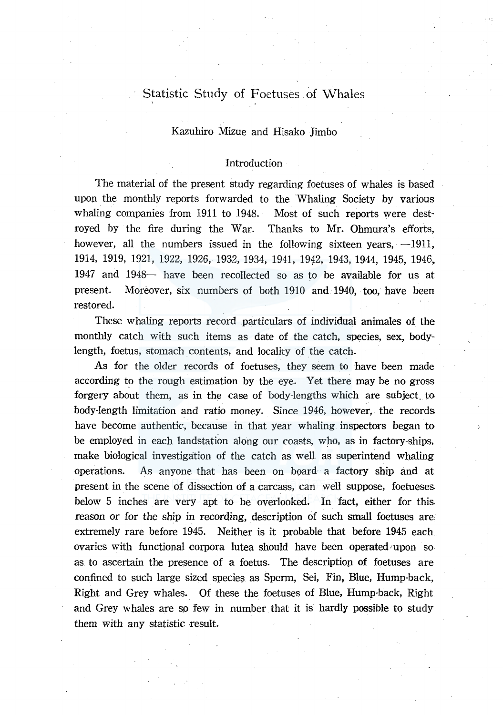# Statistic Study of Foetuses of Whales

# Kazuhiro Mizue and Hisako Jimbo

# Introduction

The material of the present study regarding foetuses of whales is based upon the monthly reports forwarded to the Whaling Society by various whaling companies from 1911 to 1948. Most of such reports were destroyed by the fire during the War. Thanks to Mr. Ohmura's efforts, however, all the numbers issued in the following sixteen years,  $-1911$ , 1914, 1919, 1921, 1922, 1926, 1932, 1934, 1941, 1942, 1943, 1944, 1945, 1946, 1947 and 1948- have been recollected so as to be available for us at present. Moreover, six numbers of both 1910 and 1940, too, have been restored.

These whaling reports record particulars of individual animales of the monthly catch with such items as date of the catch, species, sex, bodylength, foetus, stomach contents, and locality of the catch.

As for the older records of foetuses, they seem to have been made according to the rough estimation by the eye. Yet there may be no gross forgery about them, as in the case of body-lengths which are subject. to body-length limitation and ratio money. Since 1946, however, the records have become authentic, because in that year whaling inspectors began to be employed in each landstation along our coasts, who, as in factory-ships, make biological investigation of the catch as well as superintend whaling operations. As anyone that has been on board a factory ship and at present in the scene of dissection of a carcass, can well suppose, foetueses. below 5 inches are very apt to be overlooked. In fact, either for this. reason or for the ship in recording, description of such small foetuses are extremely rare before 1945. Neither is it probable that before 1945 each ovaries with functional corpora lutea should have been operated upon so as to ascertain the presence of a foetus. The descriptiop. of foetuses are confined to such large sized species as Sperm, Sei, Fin, Blue, Hump-back, Right and Grey whales. Of these the foetuses of Blue, Hump-back, Right and Grey whales are so few in number that it is hardly possible to study them with any statistic result.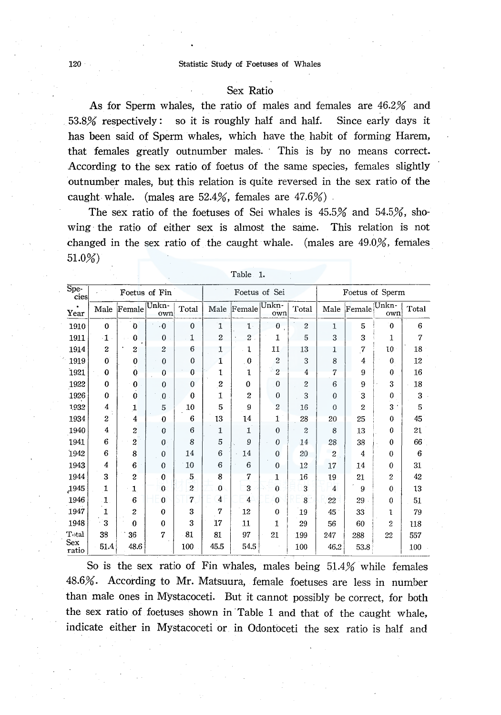### 120 Statistic Study of Foetuses of Whales

### Sex Ratio

As for Sperm whales, the ratio of males and females are 46.2% and 53.8% respectively : so it is roughly half and half. Since early days it has been said of Sperm whales, which have the habit of forming Harem, that females greatly outnumber males. This is by no means correct. According to the sex ratio of foetus of the same species, females slightly outnumber males, but this relation is quite reversed in the sex ratio of the caught whale. (males are  $52.4\%$ , females are  $47.6\%$ ).

The sex ratio of the foetuses of Sei whales is 45.5% and 54.5%, showing · the ratio of either sex is almost the same. This relation is not changed in the sex ratio of the caught whale. (males are 49.0%, females 51.0%)

| $\overline{\text{Spe}}$ .<br>cies |                  |                  | Foetus of Fin    |                         | Foetus of Sei    |                 |                |                | Foetus of Sperm |                |                |       |
|-----------------------------------|------------------|------------------|------------------|-------------------------|------------------|-----------------|----------------|----------------|-----------------|----------------|----------------|-------|
| Year                              | Male             | Female           | Unkn-<br>own     | Total                   | Male             | Female          | Unkn-<br>own   | Total          | Male            | Female         | Unkn-<br>own   | Total |
| 1910                              | $\bf{0}$         | $\mathbf 0$      | $\cdot 0$        | $\bf{0}$                | 1                | $\mathbf{1}$    | $\bf{0}$       | $\overline{c}$ | $\mathbf{1}$    | 5              | $\mathbf{0}$   | 6     |
| 1911                              | $\cdot$ 1        | $\bf{0}$         | $\theta$         | 1                       | $\overline{2}$   | $2\overline{a}$ | 1              | 5              | 3               | 3              | 1              | 7     |
| 1914                              | $\boldsymbol{2}$ | $\boldsymbol{2}$ | 2                | 6                       | 1                | ı               | 11             | 13             | 1               | 7              | 10             | 18    |
| 1919                              | $\bf{0}$         | $\bf{0}$         | $\bf{0}$         | 0                       | 1                | $\bf{0}$        | $\overline{c}$ | 3              | 8               | 4              | $\Omega$       | 12    |
| 1921                              | $\bf{0}$         | $\bf{0}$         | $\bf{0}$         | 0                       | 1                | 1               | $-2$           | 4              | 7               | 9              | $\theta$       | 16    |
| 1922                              | 0                | $\bf{0}$         | $\bf{0}$         | $\bf{0}$                | $\boldsymbol{2}$ | 0               | $\mathbf{0}$   | $\overline{c}$ | 6               | 9              | 3              | 18    |
| 1926                              | $\bf{0}$         | $\bf{0}$         | $\bf{0}$         | $\bf{0}$                | $\mathbf{I}$     | $\overline{2}$  | $\mathbf{0}$   | 3              | $\theta$        | 3              | $\bf{0}$       | 3     |
| 1932                              | 4                | 1                | 5                | 10                      | 5                | 9               | $\overline{2}$ | 16             | $\theta$        | $\overline{2}$ | 3              | 5     |
| 1934                              | $\mathbf 2$      | $\bf{4}$         | 0                | 6                       | 13               | ${\bf 14}$      | 1              | 28             | 20              | 25             | $\theta$       | 45    |
| 1940                              | 4                | $\overline{c}$   | $\bf{0}$         | 6                       | 1                | $\mathbf{1}$    | $\theta$       | $\overline{2}$ | 8               | 13             | 0              | 21    |
| 1941                              | 6                | 2                | $\boldsymbol{0}$ | 8                       | 5                | 9               | $\theta$       | 14             | 28              | 38             | $\Omega$       | 66    |
| 1942                              | 6                | 8                | $\bf{0}$         | 14                      | 6                | 14              | $\mathbf{0}$   | 20             | $\overline{c}$  | $\overline{4}$ | $\bf{0}$       | 6     |
| 1943                              | 4                | 6                | $\mathbf{0}$     | 10                      | 6                | 6               | $\bf{0}$       | 12             | 17              | 14             | $\Omega$       | 31    |
| 1944                              | 3                | $\overline{c}$   | 0                | $\overline{\mathbf{5}}$ | 8                | 7               | 1              | 16             | 19              | 21             | $\overline{c}$ | 42    |
| 1945                              | 1                | 1                | $\bf{0}$         | $\overline{c}$          | $\bf{0}$         | 3               | $\theta$       | 3              | $\overline{4}$  | 9              | 0              | 13    |
| 1946                              | 1                | 6                | $\bf{0}$         | 7                       | $\overline{4}$   | $\overline{4}$  | $\mathbf{0}$   | 8 <sup>°</sup> | 22              | 29             | 0              | 51    |
| 1947                              | 1                | 2                | $\bf{0}$         | 3                       | 7                | 12              | $\theta$       | 19             | 45              | 33             | 1              | 79    |
| 1948                              | 3                | 0                | $\bf{0}$         | 3                       | 17               | 11              | $\mathbf{1}$   | 29             | 56              | 60             | 2              | 118   |
| Total                             | 38               | 36               | 7                | 81                      | 81               | 97              | 21             | 199            | 247             | 288            | 22             | 557   |
| Sex<br>ratio                      | 51.4             | 48.6             |                  | 100                     | 45.5             | 54.5            |                | 100            | 46.2            | 53.8           |                | 100   |

Table 1.

So is the sex ratio of Fin whales, males being  $51.4\%$  while females 48.6%. According to Mr. Matsuura, female foetuses are less in number than male ones in Mystacoceti. But it cannot possibly be correct, for both the sex ratio of foetuses shown in Table 1 and that of the caught whale, indicate either in Mystacoceti or in Odontoceti the sex ratio is half and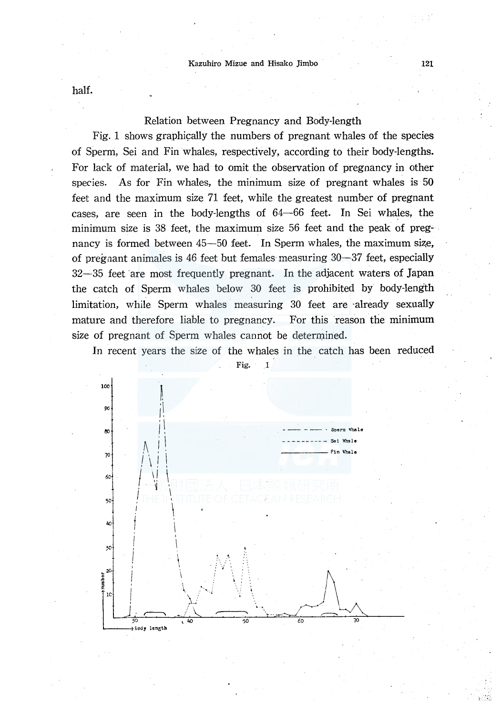half.

# Relation between Pregnancy and Body-length

Fig. 1 shows graphically the numbers of pregnant whales of the species of Sperm, Sei and Fin whales, respectively, according to their body-lengths. For lack of material, we had to omit the observation of pregnancy in other species. As for Fin whales, the minimum size of pregnant whales is 50 feet and the maximum size 71 feet, while the greatest number of pregnant cases, are seen in the body-lengths of 64-66 feet. In Sei whales, the minimum size is 38 feet, the maximum size 56 feet and the peak of pregnancy is formed between 45-50 feet. In Sperm whales, the maximum size, of pregnant animales is 46 feet but females measuring 30-37 feet, especially 32-35 feet are most frequently pregnant. In the adjacent waters of Japan the catch of Sperm whales below 30 feet is prohibited by body-length limitation, while Sperm whales measuring 30 feet are ·already sexually mature and therefore liable to pregnancy. For this reason the minimum size of pregnant of Sperm whales cannot be determined.



In recent years the size of the whales in the catch has been reduced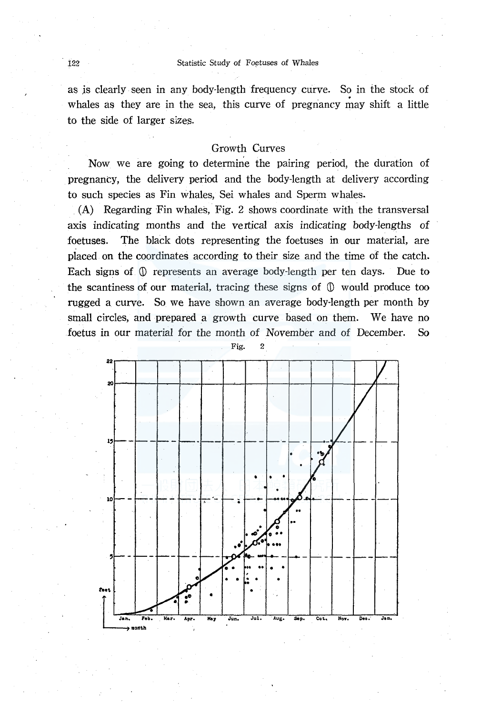as js clearly seen in any body-length frequency curve. So in the stock of whales as they are in the sea, this curve of pregnancy may shift a little to the side of larger sizes.

# Growth Curves

Now we are going to determine the pairing period, the duration of pregnancy, the delivery period and the body-length at delivery according to such species as Fin whales, Sei whales and Sperm whales.

 $(A)$  Regarding Fin whales, Fig. 2 shows coordinate with the transversal axis indicating months and the vertical axis indicating body-lengths of foetuses. The black dots representing the foetuses in our material, are placed on the coordinates according to their size and the time of the catch. Each signs of.  $\mathbb D$  represents an average body-length per ten days. Due to the scantiness of our material, tracing these signs of  $\mathbb O$  would produce too rugged a curve. So we have shown an average body-length per month by small circles, and prepared a growth curve based on them. We have no foetus in our material for the month of November and of December. So

Fig. 2

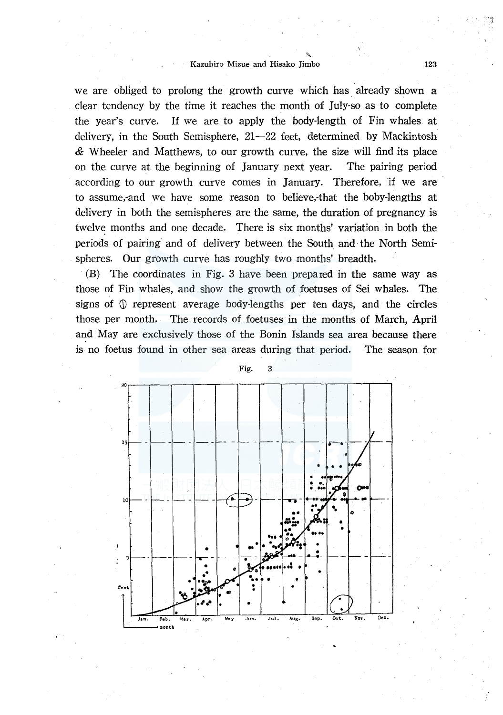#### Kazuhiro Mizue and Hisako Jimbo 123

we are obliged to prolong the growth curve which has already shown a clear tendency by the time it reaches the month of July-so as to complete the year's curve. If we are to apply the body-length of Fin whales at delivery, in the South Semisphere,  $21-22$  feet, determined by Mackintosh & Wheeler and Matthews, to our growth curve, the size will find its place on the curve at the beginning of January next year. The pairing period according to our growth curve comes in January. Therefore, if we are to assume,-and we have some reason to believe,-that the boby-lengths at delivery in both the semispheres are the same, the duration of pregnancy is twelve months and one decade. There is six months' variation in both the periods of pairing and of delivery between the South and the North Semispheres. Our growth curve has roughly two months' breadth.

· (B) The coordinates in Fig. 3 have been prepared in the same way as those of Fin whales, and show the growth of foetuses of Sei whales. The signs of  $\mathbb{O}$  represent average body-lengths per ten days, and the circles those per month. The records of foetuses in the months of March, April and May are exclusively those of the Bonin Islands sea area because there is no foetus found in other sea areas duripg that period. The season for

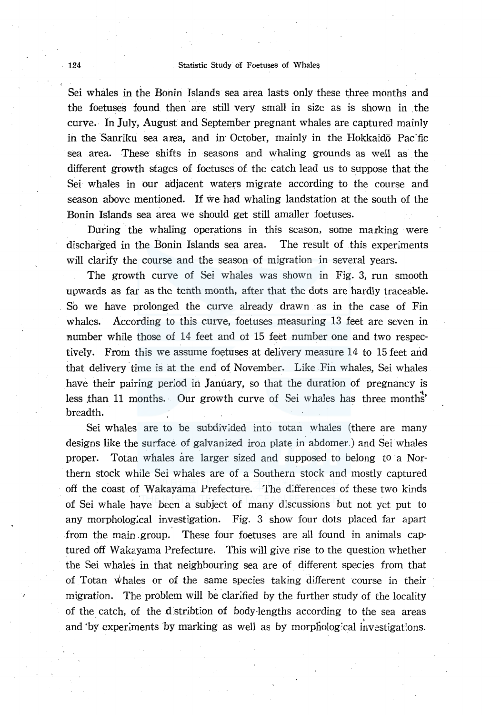Sei whales in the Bonin Islands sea area lasts only these three months and the foetuses found then are still very small in size as is shown in the curve. In July, August and September pregnant whales are captured mainly in the Sanriku sea area, and in October, mainly in the Hokkaidō Pacific sea area. These shifts in seasons and whaling grounds as well as the different growth stages of foetuses of the catch lead us to suppose that the Sei whales in our adjacent waters migrate according to the course and season above mentioned. If we had whaling landstation at the south of the Bonin Islands sea area we should get still amaller foetuses.

During the whaling operations in this season, some marking were discharged in the Bonin Islands sea area. The result of this experiments will clarify the course and the season of migration in several years.

The growth curve of Sei whales was shown in Fig. 3, run smooth upwards as far as the tenth month, after that the dots are hardly traceable . . So we have prolonged the curve already drawn as in the case of Fin whales. According to this curve, foetuses measuring 13 feet are seven in number while those of 14 feet and ot 15 feet number one and two respectively. From this we assume foetuses at delivery measure 14 to 15 feet arid that delivery time is at the end of November. Like Fin whales, Sei whales have their pairing period in January, so that the duration of pregnancy is less than 11 months. Our growth curve of Sei whales has three months' breadth.

Sei whales are to be subdiv:ded into totan whales (there are many designs like the surface. of galvanized iron plate in abdomer.) and Sei whales proper. Totan whales are larger sized and supposed to belong to a Northern stock while Sei whales are of a Southern stock and mostly captured off the coast of Wakayama Prefecture. The differences of these two kinds of Sei whale have been a subject of many d:scussions but not yet put to any morphological investigation. Fig. 3 show four dots placed far apart from the main group. These four foetuses are all found in animals captured off Wakayama Prefecture. This will give rise to the question whether the Sei whales in that neighbouring sea are of different species from that of Totan '\*hales or of the same species taking different course in their migration. The problem will be clarified by the further study of the locality of the catch, of the d:stribtion of body-lengths according to the sea areas and 'by experiments by marking as well as by morphological investigations.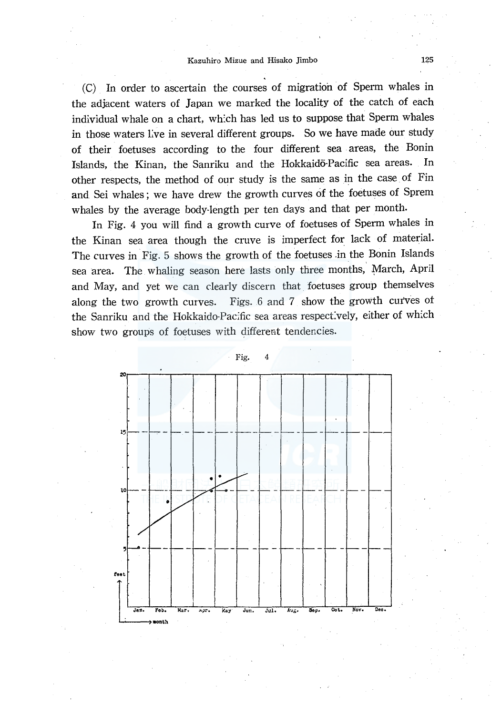(C) In order to ascertain the courses of migration of Sperm whales in the adjacent waters of Japan we marked the locality of the catch of each individual whale on a chart, wh:ch has led us to suppose that Sperm whales in those waters live in several different groups. So we have made our study of their foetuses according to the four different sea areas, the Bonin Islands, the Kinan, the Sanriku and the Hokkaidō-Pacific sea areas. In other respects, the method of our study is the same as in the case of Fin and Sei whales; we have drew the growth curves of the foetuses of Sprem whales by the average body-length per ten days and that per month.

In Fig. 4 you will find a growth curve of foetuses of Sperm whales in the Kinan sea area though the cruve is imperfect for lack of material. The curves in Fig. 5 shows the growth of the foetuses .in the Bonin Islands sea area. The whaling season here lasts only three months, March, April and May, and yet we can dearly discern that foetuses group themselves along the two growth curves. Figs. 6 and 7 show the growth curves of the Sanriku and the Hokkaido-Pacific sea areas respectively, either of which show two groups of foetuses with different tendencies.

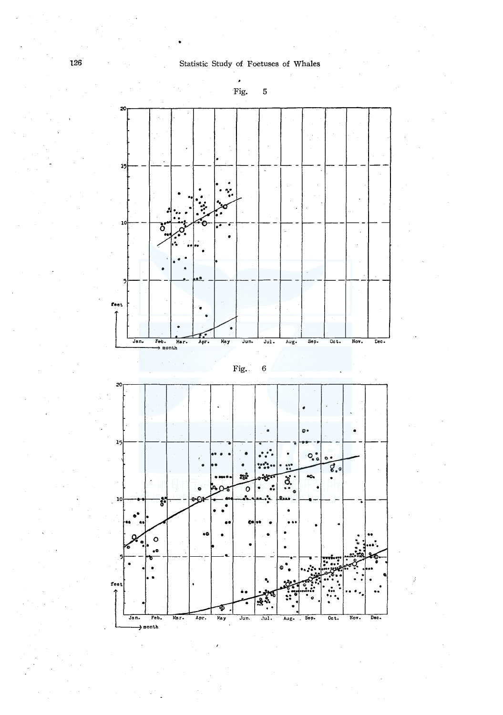,





Jan.  $\rightarrow$  month Aug.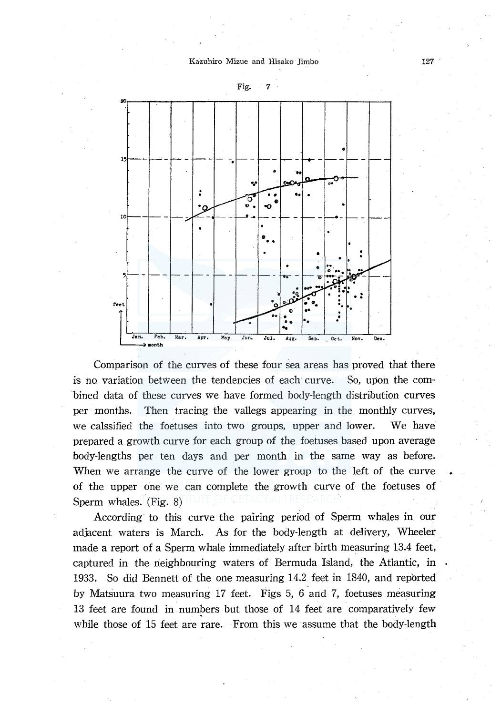

Fig. 7

Comparison of the curves of these four sea areas has proved that there is no variation between the tendencies of each curve. So, upon the combined data of these curves we have formed body-length distribution curves per months. Then tracing the vallegs appearing in the monthly curves, we calssified the foetuses into two groups, upper and lower. We have prepared a growth curve for each group of the foetuses based upon average body-lengths per ten days and per month in the same way as before. When we arrange the curve of the lower group to the left of the *curve*  of the upper one we can complete the growth curve of the foetuses of Sperm whales. (Fig. 8)

According to this curve the pairing period of Sperm whales in our adjacent waters is March. As for the body-length at delivery, Wheeler made a report of a Sperm whale immediately after birth measuring 13.4 feet, captured in the neighbouring waters of Bermuda Island, the Atlantic, in 1933. So did Bennett of the one measuring 14.2 feet in 1840, and reported by Matsuura two measuring 17 feet. Figs 5, 6 and 7, foetuses measuring 13 feet are found in numbers but those of 14 feet are comparatively few while those of 15 feet are rare. From this we assume that the body-length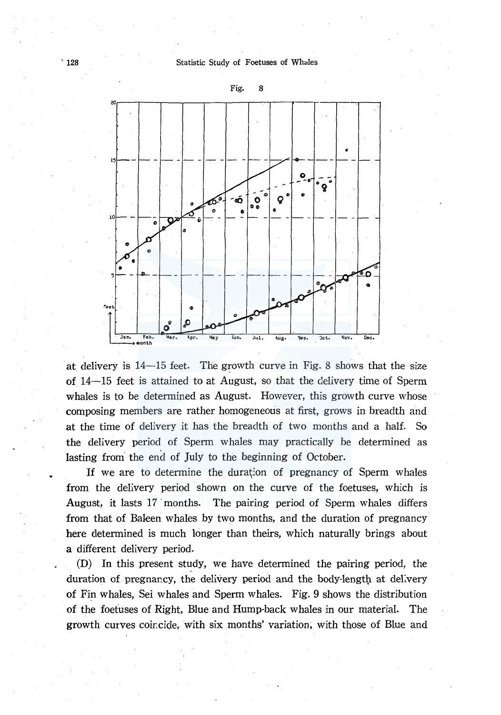'128 Statistic Study of Foetuses of Whales



at delivery is  $14-15$  feet. The growth curve in Fig. 8 shows that the size of. 14-15 feet is attained to at August, so that the delivery time of Sperm whales is to be determined as August. However, this growth curve whose composing members are rather homogeneous at first, grows in breadth and at the time of delivery it has the breadth of two months and a half. So the delivery period of Sperm whales may practically be determined as lasting from the end of July to the beginning of October.

If we are to determine the duration of pregnancy of Sperm whales from the delivery period shown on the curve of the foetuses, which is August, it lasts 17 months. The pairing period of Sperm whales differs from that of Baleen whales by two months, and the duration of pregnancy here determined is much longer than theirs, which naturally brings about a different delivery period.

(D) In this present study, we have determined the pairing period, the duration of pregnancy, the delivery period and the body-length at delivery of Fin whales, Sei whales and Sperm whales. Fig. 9 shows the distribution of the foetuses of Right, Blue and Hump-back whales in our material. The growth curves coincide, with six months' variation, with those of Blue and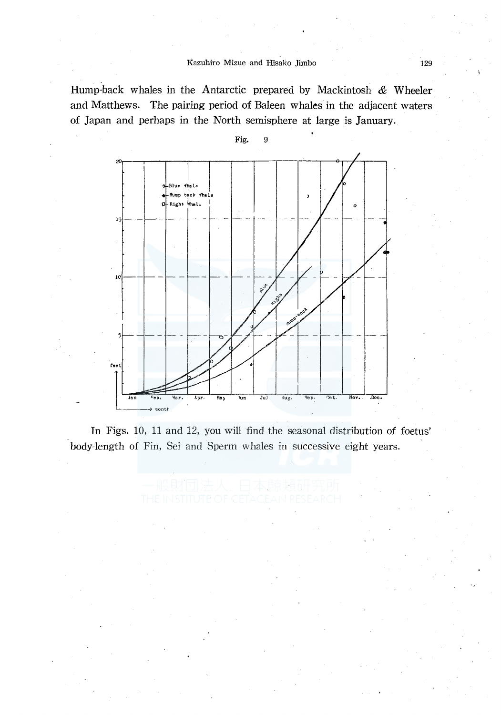Hump-back whales in the Antarctic prepared by Mackintosh  $\&$  Wheeler and Matthews. The pairing period of Baleen whales in the adjacent waters of Japan and perhaps in the North semisphere at large is January.



In Figs. 10, 11 and 12, you will find the seasonal distribution of foetus' body-length of Fin, Sei and Sperm whales in successive eight years.

Fig. 9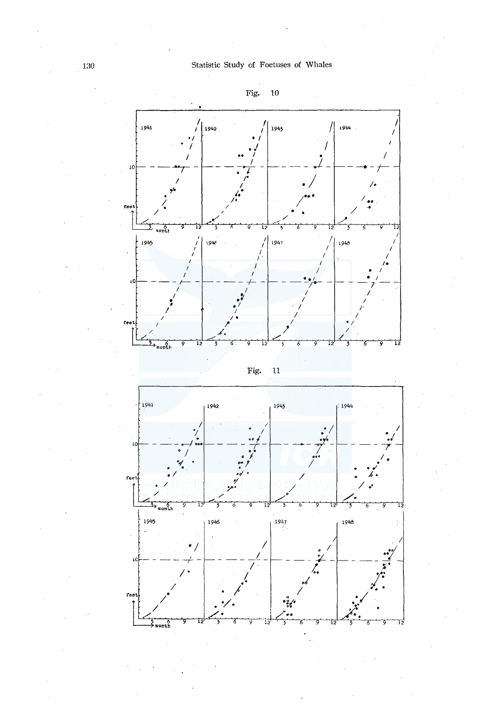



Fig. 11